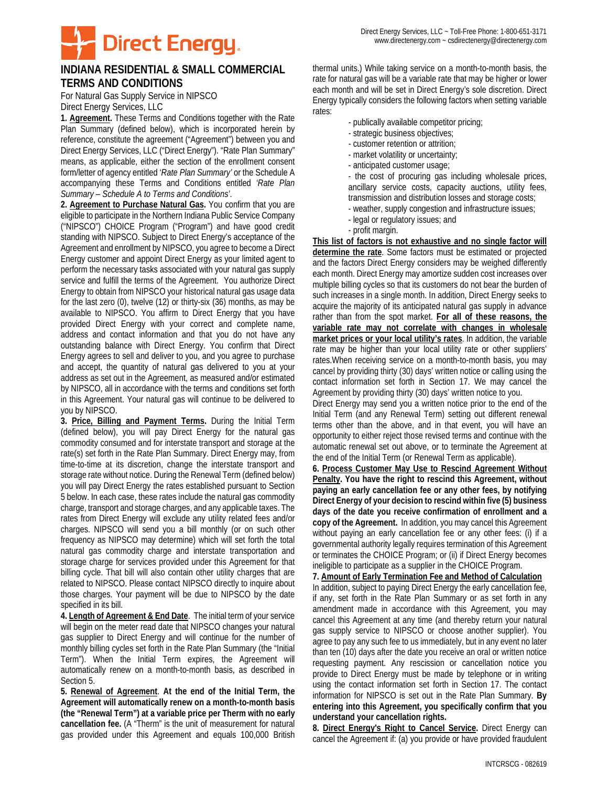

## **INDIANA RESIDENTIAL & SMALL COMMERCIAL TERMS AND CONDITIONS**

For Natural Gas Supply Service in NIPSCO Direct Energy Services, LLC

**1. Agreement.** These Terms and Conditions together with the Rate Plan Summary (defined below), which is incorporated herein by reference, constitute the agreement ("Agreement") between you and Direct Energy Services, LLC ("Direct Energy"). "Rate Plan Summary" means, as applicable, either the section of the enrollment consent form/letter of agency entitled '*Rate Plan Summary'* or the Schedule A accompanying these Terms and Conditions entitled *'Rate Plan Summary – Schedule A to Terms and Conditions'*.

**2. Agreement to Purchase Natural Gas.** You confirm that you are eligible to participate in the Northern Indiana Public Service Company ("NIPSCO") CHOICE Program ("Program") and have good credit standing with NIPSCO. Subject to Direct Energy's acceptance of the Agreement and enrollment by NIPSCO, you agree to become a Direct Energy customer and appoint Direct Energy as your limited agent to perform the necessary tasks associated with your natural gas supply service and fulfill the terms of the Agreement. You authorize Direct Energy to obtain from NIPSCO your historical natural gas usage data for the last zero (0), twelve (12) or thirty-six (36) months, as may be available to NIPSCO. You affirm to Direct Energy that you have provided Direct Energy with your correct and complete name, address and contact information and that you do not have any outstanding balance with Direct Energy. You confirm that Direct Energy agrees to sell and deliver to you, and you agree to purchase and accept, the quantity of natural gas delivered to you at your address as set out in the Agreement, as measured and/or estimated by NIPSCO, all in accordance with the terms and conditions set forth in this Agreement. Your natural gas will continue to be delivered to you by NIPSCO.

**3. Price, Billing and Payment Terms.** During the Initial Term (defined below), you will pay Direct Energy for the natural gas commodity consumed and for interstate transport and storage at the rate(s) set forth in the Rate Plan Summary. Direct Energy may, from time-to-time at its discretion, change the interstate transport and storage rate without notice. During the Renewal Term (defined below) you will pay Direct Energy the rates established pursuant to Section 5 below. In each case, these rates include the natural gas commodity charge, transport and storage charges, and any applicable taxes. The rates from Direct Energy will exclude any utility related fees and/or charges. NIPSCO will send you a bill monthly (or on such other frequency as NIPSCO may determine) which will set forth the total natural gas commodity charge and interstate transportation and storage charge for services provided under this Agreement for that billing cycle. That bill will also contain other utility charges that are related to NIPSCO. Please contact NIPSCO directly to inquire about those charges. Your payment will be due to NIPSCO by the date specified in its bill.

**4. Length of Agreement & End Date**. The initial term of your service will begin on the meter read date that NIPSCO changes your natural gas supplier to Direct Energy and will continue for the number of monthly billing cycles set forth in the Rate Plan Summary (the "Initial Term"). When the Initial Term expires, the Agreement will automatically renew on a month-to-month basis, as described in Section 5.

**5. Renewal of Agreement**. **At the end of the Initial Term, the Agreement will automatically renew on a month-to-month basis (the "Renewal Term") at a variable price per Therm with no early cancellation fee.** (A "Therm" is the unit of measurement for natural gas provided under this Agreement and equals 100,000 British

thermal units.) While taking service on a month-to-month basis, the rate for natural gas will be a variable rate that may be higher or lower each month and will be set in Direct Energy's sole discretion. Direct Energy typically considers the following factors when setting variable rates:

- publically available competitor pricing;
- strategic business objectives;
- customer retention or attrition;
- market volatility or uncertainty;
- anticipated customer usage;

- the cost of procuring gas including wholesale prices, ancillary service costs, capacity auctions, utility fees, transmission and distribution losses and storage costs;

- weather, supply congestion and infrastructure issues;
- legal or regulatory issues; and
- profit margin.

**This list of factors is not exhaustive and no single factor will determine the rate**. Some factors must be estimated or projected and the factors Direct Energy considers may be weighed differently each month. Direct Energy may amortize sudden cost increases over multiple billing cycles so that its customers do not bear the burden of such increases in a single month. In addition, Direct Energy seeks to acquire the majority of its anticipated natural gas supply in advance rather than from the spot market. **For all of these reasons, the variable rate may not correlate with changes in wholesale market prices or your local utility's rates**. In addition, the variable rate may be higher than your local utility rate or other suppliers' rates.When receiving service on a month-to-month basis, you may cancel by providing thirty (30) days' written notice or calling using the contact information set forth in Section 17. We may cancel the Agreement by providing thirty (30) days' written notice to you.

Direct Energy may send you a written notice prior to the end of the Initial Term (and any Renewal Term) setting out different renewal terms other than the above, and in that event, you will have an opportunity to either reject those revised terms and continue with the automatic renewal set out above, or to terminate the Agreement at the end of the Initial Term (or Renewal Term as applicable).

**6. Process Customer May Use to Rescind Agreement Without Penalty. You have the right to rescind this Agreement, without paying an early cancellation fee or any other fees, by notifying Direct Energy of your decision to rescind within five (5) business days of the date you receive confirmation of enrollment and a copy of the Agreement.** In addition, you may cancel this Agreement without paying an early cancellation fee or any other fees: (i) if a governmental authority legally requires termination of this Agreement or terminates the CHOICE Program; or (ii) if Direct Energy becomes ineligible to participate as a supplier in the CHOICE Program.

## **7. Amount of Early Termination Fee and Method of Calculation**

In addition, subject to paying Direct Energy the early cancellation fee, if any, set forth in the Rate Plan Summary or as set forth in any amendment made in accordance with this Agreement, you may cancel this Agreement at any time (and thereby return your natural gas supply service to NIPSCO or choose another supplier). You agree to pay any such fee to us immediately, but in any event no later than ten (10) days after the date you receive an oral or written notice requesting payment. Any rescission or cancellation notice you provide to Direct Energy must be made by telephone or in writing using the contact information set forth in Section 17. The contact information for NIPSCO is set out in the Rate Plan Summary. **By entering into this Agreement, you specifically confirm that you understand your cancellation rights.**

**8. Direct Energy's Right to Cancel Service.** Direct Energy can cancel the Agreement if: (a) you provide or have provided fraudulent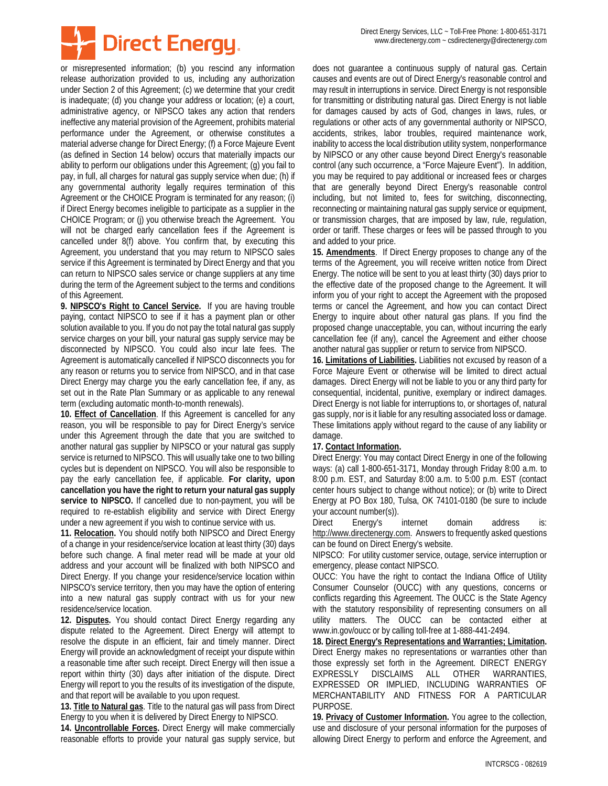

or misrepresented information; (b) you rescind any information release authorization provided to us, including any authorization under Section 2 of this Agreement; (c) we determine that your credit is inadequate; (d) you change your address or location; (e) a court, administrative agency, or NIPSCO takes any action that renders ineffective any material provision of the Agreement, prohibits material performance under the Agreement, or otherwise constitutes a material adverse change for Direct Energy; (f) a Force Majeure Event (as defined in Section 14 below) occurs that materially impacts our ability to perform our obligations under this Agreement; (g) you fail to pay, in full, all charges for natural gas supply service when due; (h) if any governmental authority legally requires termination of this Agreement or the CHOICE Program is terminated for any reason; (i) if Direct Energy becomes ineligible to participate as a supplier in the CHOICE Program; or (j) you otherwise breach the Agreement. You will not be charged early cancellation fees if the Agreement is cancelled under 8(f) above. You confirm that, by executing this Agreement, you understand that you may return to NIPSCO sales service if this Agreement is terminated by Direct Energy and that you can return to NIPSCO sales service or change suppliers at any time during the term of the Agreement subject to the terms and conditions of this Agreement.

**9. NIPSCO's Right to Cancel Service.** If you are having trouble paying, contact NIPSCO to see if it has a payment plan or other solution available to you. If you do not pay the total natural gas supply service charges on your bill, your natural gas supply service may be disconnected by NIPSCO. You could also incur late fees. The Agreement is automatically cancelled if NIPSCO disconnects you for any reason or returns you to service from NIPSCO, and in that case Direct Energy may charge you the early cancellation fee, if any, as set out in the Rate Plan Summary or as applicable to any renewal term (excluding automatic month-to-month renewals).

**10. Effect of Cancellation**. If this Agreement is cancelled for any reason, you will be responsible to pay for Direct Energy's service under this Agreement through the date that you are switched to another natural gas supplier by NIPSCO or your natural gas supply service is returned to NIPSCO. This will usually take one to two billing cycles but is dependent on NIPSCO. You will also be responsible to pay the early cancellation fee, if applicable. **For clarity, upon cancellation you have the right to return your natural gas supply service to NIPSCO.** If cancelled due to non-payment, you will be required to re-establish eligibility and service with Direct Energy under a new agreement if you wish to continue service with us.

**11. Relocation.** You should notify both NIPSCO and Direct Energy of a change in your residence/service location at least thirty (30) days before such change. A final meter read will be made at your old address and your account will be finalized with both NIPSCO and Direct Energy. If you change your residence/service location within NIPSCO's service territory, then you may have the option of entering into a new natural gas supply contract with us for your new residence/service location.

**12. Disputes.** You should contact Direct Energy regarding any dispute related to the Agreement. Direct Energy will attempt to resolve the dispute in an efficient, fair and timely manner. Direct Energy will provide an acknowledgment of receipt your dispute within a reasonable time after such receipt. Direct Energy will then issue a report within thirty (30) days after initiation of the dispute. Direct Energy will report to you the results of its investigation of the dispute, and that report will be available to you upon request.

**13. Title to Natural gas**. Title to the natural gas will pass from Direct Energy to you when it is delivered by Direct Energy to NIPSCO.

**14. Uncontrollable Forces.** Direct Energy will make commercially reasonable efforts to provide your natural gas supply service, but does not guarantee a continuous supply of natural gas. Certain causes and events are out of Direct Energy's reasonable control and may result in interruptions in service. Direct Energy is not responsible for transmitting or distributing natural gas. Direct Energy is not liable for damages caused by acts of God, changes in laws, rules, or regulations or other acts of any governmental authority or NIPSCO, accidents, strikes, labor troubles, required maintenance work, inability to access the local distribution utility system, nonperformance by NIPSCO or any other cause beyond Direct Energy's reasonable control (any such occurrence, a "Force Majeure Event"). In addition, you may be required to pay additional or increased fees or charges that are generally beyond Direct Energy's reasonable control including, but not limited to, fees for switching, disconnecting, reconnecting or maintaining natural gas supply service or equipment, or transmission charges, that are imposed by law, rule, regulation, order or tariff. These charges or fees will be passed through to you and added to your price.

**15. Amendments**. If Direct Energy proposes to change any of the terms of the Agreement, you will receive written notice from Direct Energy. The notice will be sent to you at least thirty (30) days prior to the effective date of the proposed change to the Agreement. It will inform you of your right to accept the Agreement with the proposed terms or cancel the Agreement, and how you can contact Direct Energy to inquire about other natural gas plans. If you find the proposed change unacceptable, you can, without incurring the early cancellation fee (if any), cancel the Agreement and either choose another natural gas supplier or return to service from NIPSCO.

**16. Limitations of Liabilities.** Liabilities not excused by reason of a Force Majeure Event or otherwise will be limited to direct actual damages. Direct Energy will not be liable to you or any third party for consequential, incidental, punitive, exemplary or indirect damages. Direct Energy is not liable for interruptions to, or shortages of, natural gas supply, nor is it liable for any resulting associated loss or damage. These limitations apply without regard to the cause of any liability or damage.

## **17. Contact Information.**

Direct Energy: You may contact Direct Energy in one of the following ways: (a) call 1-800-651-3171, Monday through Friday 8:00 a.m. to 8:00 p.m. EST, and Saturday 8:00 a.m. to 5:00 p.m. EST (contact center hours subject to change without notice); or (b) write to Direct Energy at PO Box 180, Tulsa, OK 74101-0180 (be sure to include your account number(s)).

Direct Energy's internet domain address is: http://www.directenergy.com. Answers to frequently asked questions can be found on Direct Energy's website.

NIPSCO: For utility customer service, outage, service interruption or emergency, please contact NIPSCO.

OUCC: You have the right to contact the Indiana Office of Utility Consumer Counselor (OUCC) with any questions, concerns or conflicts regarding this Agreement. The OUCC is the State Agency with the statutory responsibility of representing consumers on all utility matters. The OUCC can be contacted either at www.in.gov/oucc or by calling toll-free at 1-888-441-2494.

**18. Direct Energy's Representations and Warranties; Limitation.** Direct Energy makes no representations or warranties other than those expressly set forth in the Agreement. DIRECT ENERGY EXPRESSLY DISCLAIMS ALL OTHER WARRANTIES, EXPRESSED OR IMPLIED, INCLUDING WARRANTIES OF MERCHANTABILITY AND FITNESS FOR A PARTICULAR PURPOSE.

**19. Privacy of Customer Information.** You agree to the collection, use and disclosure of your personal information for the purposes of allowing Direct Energy to perform and enforce the Agreement, and